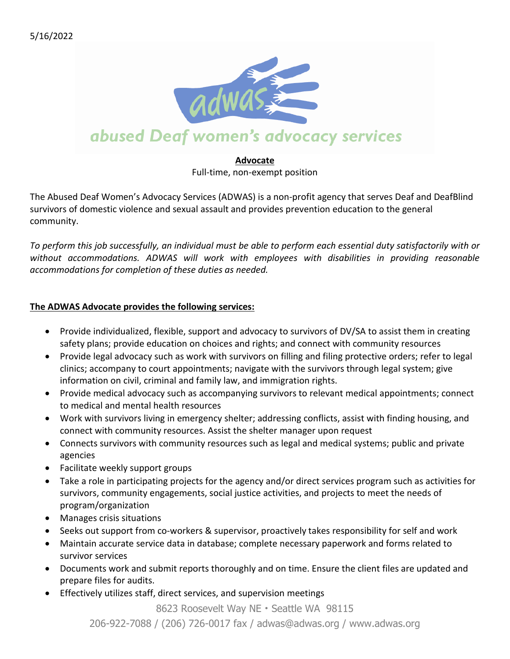

#### **Advocate**

Full-time, non-exempt position

The Abused Deaf Women's Advocacy Services (ADWAS) is a non-profit agency that serves Deaf and DeafBlind survivors of domestic violence and sexual assault and provides prevention education to the general community.

To perform this job successfully, an individual must be able to perform each essential duty satisfactorily with or *without accommodations. ADWAS will work with employees with disabilities in providing reasonable accommodations for completion of these duties as needed.*

### **The ADWAS Advocate provides the following services:**

- Provide individualized, flexible, support and advocacy to survivors of DV/SA to assist them in creating safety plans; provide education on choices and rights; and connect with community resources
- Provide legal advocacy such as work with survivors on filling and filing protective orders; refer to legal clinics; accompany to court appointments; navigate with the survivors through legal system; give information on civil, criminal and family law, and immigration rights.
- Provide medical advocacy such as accompanying survivors to relevant medical appointments; connect to medical and mental health resources
- Work with survivors living in emergency shelter; addressing conflicts, assist with finding housing, and connect with community resources. Assist the shelter manager upon request
- Connects survivors with community resources such as legal and medical systems; public and private agencies
- Facilitate weekly support groups
- Take a role in participating projects for the agency and/or direct services program such as activities for survivors, community engagements, social justice activities, and projects to meet the needs of program/organization
- Manages crisis situations
- Seeks out support from co-workers & supervisor, proactively takes responsibility for self and work
- Maintain accurate service data in database; complete necessary paperwork and forms related to survivor services
- Documents work and submit reports thoroughly and on time. Ensure the client files are updated and prepare files for audits.
- Effectively utilizes staff, direct services, and supervision meetings

8623 Roosevelt Way NE • Seattle WA 98115 206-922-7088 / (206) 726-0017 fax / adwas@adwas.org / www.adwas.org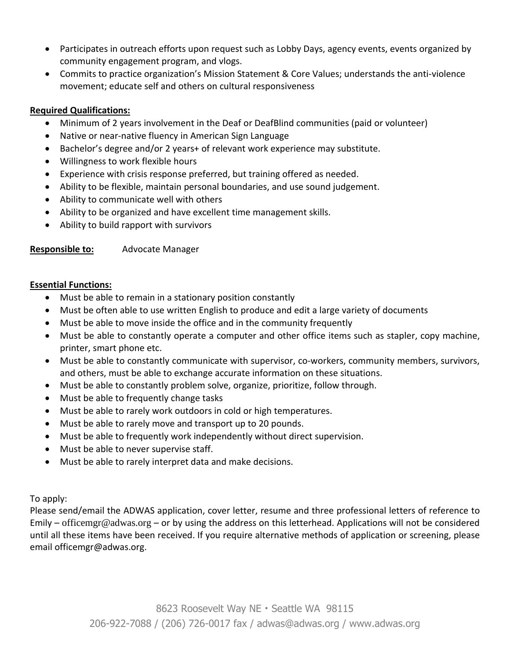- Participates in outreach efforts upon request such as Lobby Days, agency events, events organized by community engagement program, and vlogs.
- Commits to practice organization's Mission Statement & Core Values; understands the anti-violence movement; educate self and others on cultural responsiveness

# **Required Qualifications:**

- Minimum of 2 years involvement in the Deaf or DeafBlind communities (paid or volunteer)
- Native or near-native fluency in American Sign Language
- Bachelor's degree and/or 2 years+ of relevant work experience may substitute.
- Willingness to work flexible hours
- Experience with crisis response preferred, but training offered as needed.
- Ability to be flexible, maintain personal boundaries, and use sound judgement.
- Ability to communicate well with others
- Ability to be organized and have excellent time management skills.
- Ability to build rapport with survivors

**Responsible to:** Advocate Manager

## **Essential Functions:**

- Must be able to remain in a stationary position constantly
- Must be often able to use written English to produce and edit a large variety of documents
- Must be able to move inside the office and in the community frequently
- Must be able to constantly operate a computer and other office items such as stapler, copy machine, printer, smart phone etc.
- Must be able to constantly communicate with supervisor, co-workers, community members, survivors, and others, must be able to exchange accurate information on these situations.
- Must be able to constantly problem solve, organize, prioritize, follow through.
- Must be able to frequently change tasks
- Must be able to rarely work outdoors in cold or high temperatures.
- Must be able to rarely move and transport up to 20 pounds.
- Must be able to frequently work independently without direct supervision.
- Must be able to never supervise staff.
- Must be able to rarely interpret data and make decisions.

To apply:

Please send/email the ADWAS application, cover letter, resume and three professional letters of reference to Emily – [officemgr@adwas.org](mailto:officemgr@adwas.org) – or by using the address on this letterhead. Applications will not be considered until all these items have been received. If you require alternative methods of application or screening, please email officemgr@adwas.org.